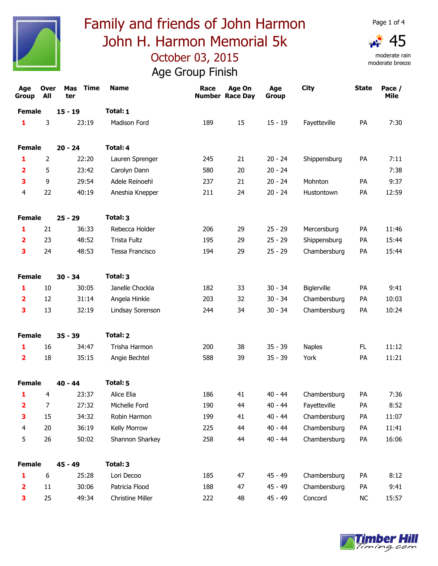



| Age<br><b>Group</b>     | <b>Over</b><br>All | <b>Mas</b><br>Time<br>ter | <b>Name</b>             | Race | Age On<br><b>Number Race Day</b> | Age<br>Group | <b>City</b>   | <b>State</b> | Pace /<br>Mile |
|-------------------------|--------------------|---------------------------|-------------------------|------|----------------------------------|--------------|---------------|--------------|----------------|
| <b>Female</b>           |                    | $15 - 19$                 | Total: 1                |      |                                  |              |               |              |                |
| 1                       | 3                  | 23:19                     | Madison Ford            | 189  | 15                               | $15 - 19$    | Fayetteville  | PA           | 7:30           |
| <b>Female</b>           |                    | $20 - 24$                 | Total: 4                |      |                                  |              |               |              |                |
| 1                       | 2                  | 22:20                     | Lauren Sprenger         | 245  | 21                               | $20 - 24$    | Shippensburg  | PA           | 7:11           |
| 2                       | 5                  | 23:42                     | Carolyn Dann            | 580  | 20                               | $20 - 24$    |               |              | 7:38           |
| 3                       | 9                  | 29:54                     | Adele Reinoehl          | 237  | 21                               | $20 - 24$    | Mohnton       | PA           | 9:37           |
| $\overline{\mathbf{4}}$ | 22                 | 40:19                     | Aneshia Knepper         | 211  | 24                               | $20 - 24$    | Hustontown    | PA           | 12:59          |
| <b>Female</b>           |                    | $25 - 29$                 | Total: 3                |      |                                  |              |               |              |                |
| 1                       | 21                 | 36:33                     | Rebecca Holder          | 206  | 29                               | $25 - 29$    | Mercersburg   | PA           | 11:46          |
| $\overline{\mathbf{2}}$ | 23                 | 48:52                     | <b>Trista Fultz</b>     | 195  | 29                               | $25 - 29$    | Shippensburg  | PA           | 15:44          |
| 3                       | 24                 | 48:53                     | Tessa Francisco         | 194  | 29                               | $25 - 29$    | Chambersburg  | PA           | 15:44          |
| <b>Female</b>           |                    | $30 - 34$                 | Total: 3                |      |                                  |              |               |              |                |
| 1                       | 10                 | 30:05                     | Janelle Chockla         | 182  | 33                               | $30 - 34$    | Biglerville   | PA           | 9:41           |
| 2                       | 12                 | 31:14                     | Angela Hinkle           | 203  | 32                               | $30 - 34$    | Chambersburg  | PA           | 10:03          |
| 3                       | 13                 | 32:19                     | Lindsay Sorenson        | 244  | 34                               | $30 - 34$    | Chambersburg  | PA           | 10:24          |
| <b>Female</b>           |                    | $35 - 39$                 | Total: 2                |      |                                  |              |               |              |                |
| $\mathbf{1}$            | 16                 | 34:47                     | Trisha Harmon           | 200  | 38                               | $35 - 39$    | <b>Naples</b> | FL           | 11:12          |
| $\overline{\mathbf{2}}$ | 18                 | 35:15                     | Angie Bechtel           | 588  | 39                               | $35 - 39$    | York          | PA           | 11:21          |
| <b>Female</b>           |                    | $40 - 44$                 | Total: 5                |      |                                  |              |               |              |                |
| 1                       | 4                  | 23:37                     | Alice Elia              | 186  | 41                               | $40 - 44$    | Chambersburg  | PA           | 7:36           |
| 2                       | 7                  | 27:32                     | Michelle Ford           | 190  | 44                               | $40 - 44$    | Fayetteville  | PA           | 8:52           |
| 3                       | 15                 | 34:32                     | Robin Harmon            | 199  | 41                               | $40 - 44$    | Chambersburg  | PA           | 11:07          |
| 4                       | 20                 | 36:19                     | Kelly Morrow            | 225  | 44                               | $40 - 44$    | Chambersburg  | PA           | 11:41          |
| 5                       | 26                 | 50:02                     | Shannon Sharkey         | 258  | 44                               | $40 - 44$    | Chambersburg  | PA           | 16:06          |
| <b>Female</b>           |                    | $45 - 49$                 | Total: 3                |      |                                  |              |               |              |                |
| 1                       | $\boldsymbol{6}$   | 25:28                     | Lori Decoo              | 185  | 47                               | $45 - 49$    | Chambersburg  | PA           | 8:12           |
| 2                       | 11                 | 30:06                     | Patricia Flood          | 188  | 47                               | $45 - 49$    | Chambersburg  | PA           | 9:41           |
| 3                       | 25                 | 49:34                     | <b>Christine Miller</b> | 222  | 48                               | $45 - 49$    | Concord       | NC           | 15:57          |

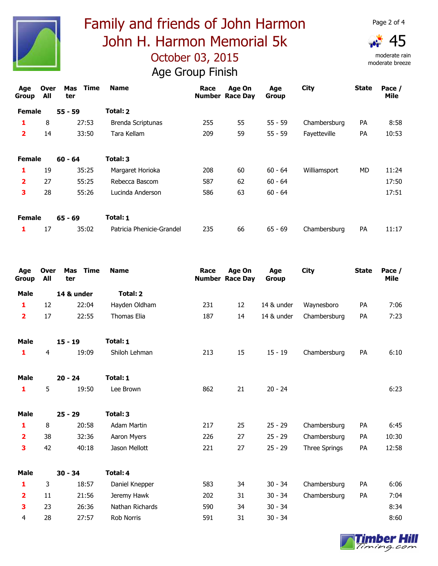

moderate rain moderate breeze

| Age<br>Group            | <b>Over</b><br>All | Time<br>Mas<br>ter | <b>Name</b>               | Race | <b>Age On</b><br><b>Number Race Day</b> | Age<br><b>Group</b> | <b>City</b>  | <b>State</b> | Pace /<br>Mile |
|-------------------------|--------------------|--------------------|---------------------------|------|-----------------------------------------|---------------------|--------------|--------------|----------------|
| <b>Female</b>           |                    | $55 - 59$          | Total: 2                  |      |                                         |                     |              |              |                |
| 1                       | 8                  | 27:53              | Brenda Scriptunas         | 255  | 55                                      | $55 - 59$           | Chambersburg | <b>PA</b>    | 8:58           |
| $\overline{\mathbf{2}}$ | 14                 | 33:50              | Tara Kellam               | 209  | 59                                      | $55 - 59$           | Fayetteville | PA           | 10:53          |
| <b>Female</b>           |                    | $60 - 64$          | Total: 3                  |      |                                         |                     |              |              |                |
| 1                       | 19                 | 35:25              | Margaret Horioka          | 208  | 60                                      | $60 - 64$           | Williamsport | MD           | 11:24          |
| $\overline{\mathbf{2}}$ | 27                 | 55:25              | Rebecca Bascom            | 587  | 62                                      | $60 - 64$           |              |              | 17:50          |
| 3                       | 28                 | 55:26              | Lucinda Anderson          | 586  | 63                                      | $60 - 64$           |              |              | 17:51          |
| <b>Female</b>           |                    | $65 - 69$          | Total: 1                  |      |                                         |                     |              |              |                |
| 1                       | 17                 | 35:02              | Patricia Phenicie-Grandel | 235  | 66                                      | $65 - 69$           | Chambersburg | PA           | 11:17          |

| <b>Over</b><br><b>All</b> | <b>Mas</b><br>ter | <b>Name</b>                                                    | Race                                            | Age On | Age<br>Group           | <b>City</b>   | <b>State</b> | Pace /<br>Mile |
|---------------------------|-------------------|----------------------------------------------------------------|-------------------------------------------------|--------|------------------------|---------------|--------------|----------------|
|                           |                   | Total: 2                                                       |                                                 |        |                        |               |              |                |
| 12                        |                   | Hayden Oldham                                                  | 231                                             | 12     | 14 & under             | Waynesboro    | PA           | 7:06           |
| 17                        |                   | <b>Thomas Elia</b>                                             | 187                                             | 14     | 14 & under             | Chambersburg  | PA           | 7:23           |
|                           |                   | Total: 1                                                       |                                                 |        |                        |               |              |                |
| $\overline{4}$            | 19:09             | Shiloh Lehman                                                  | 213                                             | 15     | $15 - 19$              | Chambersburg  | PA           | 6:10           |
|                           |                   | Total: 1                                                       |                                                 |        |                        |               |              |                |
| 5                         |                   | Lee Brown                                                      | 862                                             | 21     | $20 - 24$              |               |              | 6:23           |
|                           |                   | Total: 3                                                       |                                                 |        |                        |               |              |                |
| 8                         | 20:58             | <b>Adam Martin</b>                                             | 217                                             | 25     | $25 - 29$              | Chambersburg  | PA           | 6:45           |
| 38                        | 32:36             | Aaron Myers                                                    | 226                                             | 27     | $25 - 29$              | Chambersburg  | PA           | 10:30          |
| 42                        | 40:18             | Jason Mellott                                                  | 221                                             | 27     | $25 - 29$              | Three Springs | PA           | 12:58          |
|                           |                   | Total: 4                                                       |                                                 |        |                        |               |              |                |
| 3                         | 18:57             | Daniel Knepper                                                 | 583                                             | 34     | $30 - 34$              | Chambersburg  | PA           | 6:06           |
| 11                        |                   | Jeremy Hawk                                                    | 202                                             | 31     | $30 - 34$              | Chambersburg  | PA           | 7:04           |
| 23                        | 26:36             | Nathan Richards                                                | 590                                             | 34     | $30 - 34$              |               |              | 8:34           |
| 28                        | 27:57             | <b>Rob Norris</b>                                              | 591                                             | 31     | $30 - 34$              |               |              | 8:60           |
|                           |                   | 14 & under<br>$15 - 19$<br>$20 - 24$<br>$25 - 29$<br>$30 - 34$ | <b>Time</b><br>22:04<br>22:55<br>19:50<br>21:56 |        | <b>Number Race Day</b> |               |              |                |

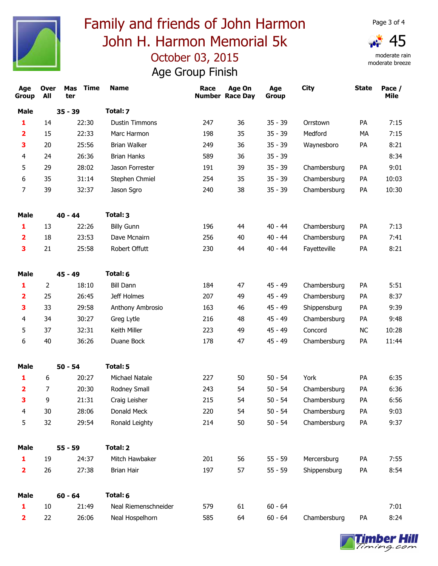

moderate rain moderate breeze

| Age<br>Group            | <b>Over</b><br>All | Mas Time<br>ter | <b>Name</b>           | Race | Age On<br><b>Number Race Day</b> | Age<br><b>Group</b> | <b>City</b>  | <b>State</b> | Pace /<br>Mile |
|-------------------------|--------------------|-----------------|-----------------------|------|----------------------------------|---------------------|--------------|--------------|----------------|
| <b>Male</b>             | $35 - 39$          |                 | Total: 7              |      |                                  |                     |              |              |                |
| 1                       | 14                 | 22:30           | <b>Dustin Timmons</b> | 247  | 36                               | $35 - 39$           | Orrstown     | PA           | 7:15           |
| $\overline{\mathbf{2}}$ | 15                 | 22:33           | Marc Harmon           | 198  | 35                               | $35 - 39$           | Medford      | MA           | 7:15           |
| 3                       | 20                 | 25:56           | <b>Brian Walker</b>   | 249  | 36                               | $35 - 39$           | Waynesboro   | PA           | 8:21           |
| 4                       | 24                 | 26:36           | <b>Brian Hanks</b>    | 589  | 36                               | $35 - 39$           |              |              | 8:34           |
| 5                       | 29                 | 28:02           | Jason Forrester       | 191  | 39                               | $35 - 39$           | Chambersburg | PA           | 9:01           |
| 6                       | 35                 | 31:14           | Stephen Chmiel        | 254  | 35                               | $35 - 39$           | Chambersburg | PA           | 10:03          |
| 7                       | 39                 | 32:37           | Jason Sgro            | 240  | 38                               | $35 - 39$           | Chambersburg | PA           | 10:30          |
| <b>Male</b>             |                    | $40 - 44$       | Total: 3              |      |                                  |                     |              |              |                |
| 1                       | 13                 | 22:26           | <b>Billy Gunn</b>     | 196  | 44                               | $40 - 44$           | Chambersburg | PA           | 7:13           |
| $\overline{\mathbf{2}}$ | 18                 | 23:53           | Dave Mcnairn          | 256  | 40                               | $40 - 44$           | Chambersburg | PA           | 7:41           |
| 3                       | 21                 | 25:58           | Robert Offutt         | 230  | 44                               | $40 - 44$           | Fayetteville | PA           | 8:21           |
| <b>Male</b>             |                    | $45 - 49$       | Total: 6              |      |                                  |                     |              |              |                |
| 1                       | 2                  | 18:10           | <b>Bill Dann</b>      | 184  | 47                               | $45 - 49$           | Chambersburg | PA           | 5:51           |
| $\overline{\mathbf{2}}$ | 25                 | 26:45           | Jeff Holmes           | 207  | 49                               | $45 - 49$           | Chambersburg | PA           | 8:37           |
| 3                       | 33                 | 29:58           | Anthony Ambrosio      | 163  | 46                               | $45 - 49$           | Shippensburg | PA           | 9:39           |
| 4                       | 34                 | 30:27           | Greg Lytle            | 216  | 48                               | $45 - 49$           | Chambersburg | PA           | 9:48           |
| 5                       | 37                 | 32:31           | Keith Miller          | 223  | 49                               | $45 - 49$           | Concord      | <b>NC</b>    | 10:28          |
| 6                       | 40                 | 36:26           | Duane Bock            | 178  | 47                               | 45 - 49             | Chambersburg | PA           | 11:44          |
| <b>Male</b>             |                    | $50 - 54$       | Total: 5              |      |                                  |                     |              |              |                |
| 1                       | 6                  | 20:27           | Michael Natale        | 227  | 50                               | $50 - 54$           | York         | PA           | 6:35           |
| $\overline{\mathbf{2}}$ | 7                  | 20:30           | Rodney Small          | 243  | 54                               | $50 - 54$           | Chambersburg | PA           | 6:36           |
| з.                      | 9                  | 21:31           | Craig Leisher         | 215  | 54                               | $50 - 54$           | Chambersburg | PA           | 6:56           |
| $\overline{\mathbf{4}}$ | 30                 | 28:06           | Donald Meck           | 220  | 54                               | $50 - 54$           | Chambersburg | PA           | 9:03           |
| 5                       | 32                 | 29:54           | Ronald Leighty        | 214  | 50                               | $50 - 54$           | Chambersburg | PA           | 9:37           |
| <b>Male</b>             |                    | $55 - 59$       | Total: 2              |      |                                  |                     |              |              |                |
| 1                       | 19                 | 24:37           | Mitch Hawbaker        | 201  | 56                               | $55 - 59$           | Mercersburg  | PA           | 7:55           |
| $\overline{\mathbf{2}}$ | 26                 | 27:38           | <b>Brian Hair</b>     | 197  | 57                               | $55 - 59$           | Shippensburg | PA           | 8:54           |
| <b>Male</b>             |                    | $60 - 64$       | Total: 6              |      |                                  |                     |              |              |                |
| 1                       | 10                 | 21:49           | Neal Riemenschneider  | 579  | 61                               | $60 - 64$           |              |              | 7:01           |
| $\overline{\mathbf{2}}$ | 22                 | 26:06           | Neal Hospelhorn       | 585  | 64                               | $60 - 64$           | Chambersburg | PA           | 8:24           |